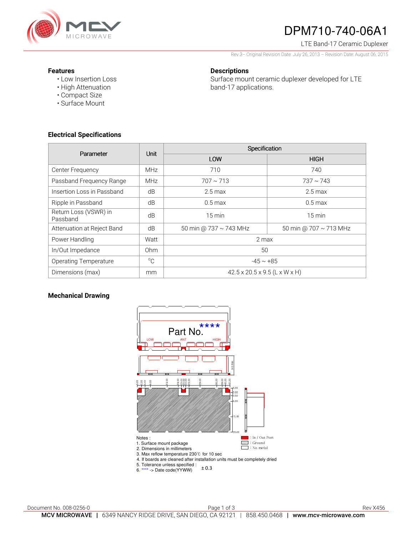

# DPM710-740-06A1

LTE Band-17 Ceramic Duplexer

Rev 3– Original Revision Date: July 26, 2013 – Revision Date: August 06, 2015

### **Features**

• Low Insertion Loss

## **Descriptions**

Surface mount ceramic duplexer developed for LTE band-17 applications.

- High Attenuation • Compact Size
- Surface Mount
- 

## **Electrical Specifications**

| Parameter                         | Unit            | Specification                             |                        |
|-----------------------------------|-----------------|-------------------------------------------|------------------------|
|                                   |                 | LOW                                       | <b>HIGH</b>            |
| Center Frequency                  | <b>MHz</b>      | 710                                       | 740                    |
| Passband Frequency Range          | <b>MHz</b>      | $707 \sim 713$                            | $737 \sim 743$         |
| Insertion Loss in Passband        | dB              | $2.5 \text{ max}$                         | $2.5 \text{ max}$      |
| Ripple in Passband                | dB              | $0.5 \text{ max}$                         | $0.5 \text{ max}$      |
| Return Loss (VSWR) in<br>Passband | dB              | 15 min                                    | $15 \text{ min}$       |
| Attenuation at Reject Band        | dB              | 50 min @ 737 ~ 743 MHz                    | 50 min @ 707 ~ 713 MHz |
| Power Handling                    | Watt            | 2 max                                     |                        |
| In/Out Impedance                  | 0 <sub>hm</sub> | 50                                        |                        |
| <b>Operating Temperature</b>      | $^{\circ}$ C    | $-45 \sim +85$                            |                        |
| Dimensions (max)                  | mm              | $42.5 \times 20.5 \times 9.5$ (L x W x H) |                        |

## **Mechanical Drawing**



5. Tolerance unless specified :<br>6. \*\*\*\* -> Date code(YYWW)  $\pm 0$  $\pm$  0.3  $\,$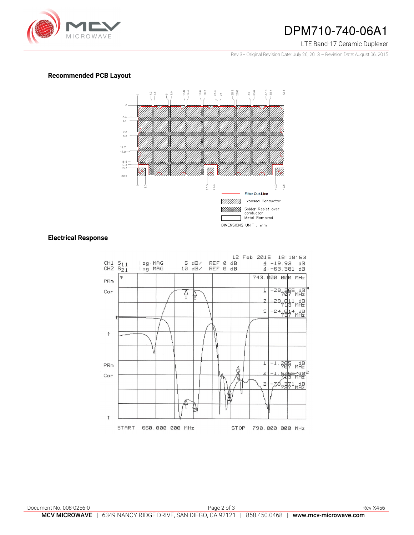

## DPM710-740-06A1

#### LTE Band-17 Ceramic Duplexer

Rev 3– Original Revision Date: July 26, 2013 – Revision Date: August 06, 2015

## **Recommended PCB Layout**



## **Electrical Response**